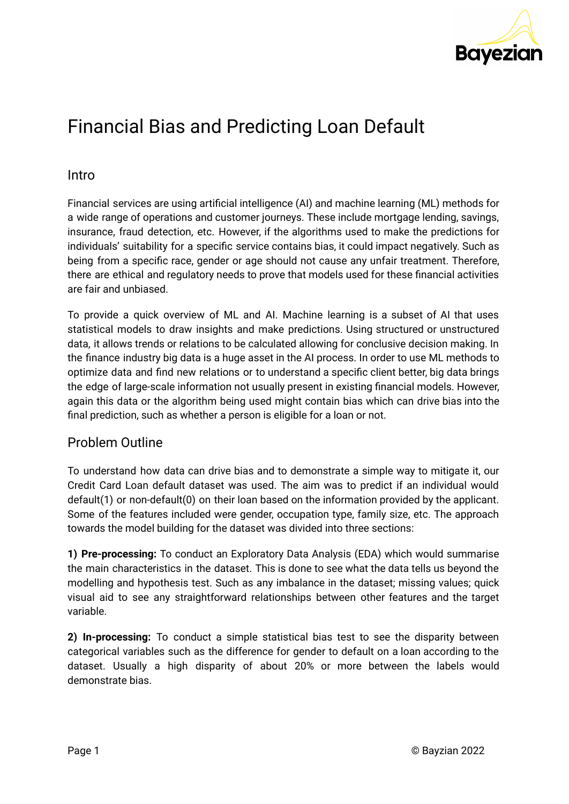

# Financial Bias and Predicting Loan Default

#### Intro

Financial services are using artificial intelligence (AI) and machine learning (ML) methods for a wide range of operations and customer journeys. These include mortgage lending, savings, insurance, fraud detection, etc. However, if the algorithms used to make the predictions for individuals' suitability for a specific service contains bias, it could impact negatively. Such as being from a specific race, gender or age should not cause any unfair treatment. Therefore, there are ethical and regulatory needs to prove that models used for these financial activities are fair and unbiased.

To provide a quick overview of ML and AI. Machine learning is a subset of AI that uses statistical models to draw insights and make predictions. Using structured or unstructured data, it allows trends or relations to be calculated allowing for conclusive decision making. In the finance industry big data is a huge asset in the AI process. In order to use ML methods to optimize data and find new relations or to understand a specific client better, big data brings the edge of large-scale information not usually present in existing financial models. However, again this data or the algorithm being used might contain bias which can drive bias into the final prediction, such as whether a person is eligible for a loan or not.

### Problem Outline

To understand how data can drive bias and to demonstrate a simple way to mitigate it, our Credit Card Loan default dataset was used. The aim was to predict if an individual would default(1) or non-default(0) on their loan based on the information provided by the applicant. Some of the features included were gender, occupation type, family size, etc. The approach towards the model building for the dataset was divided into three sections:

**1) Pre-processing:** To conduct an Exploratory Data Analysis (EDA) which would summarise the main characteristics in the dataset. This is done to see what the data tells us beyond the modelling and hypothesis test. Such as any imbalance in the dataset; missing values; quick visual aid to see any straightforward relationships between other features and the target variable.

**2) In-processing:** To conduct a simple statistical bias test to see the disparity between categorical variables such as the difference for gender to default on a loan according to the dataset. Usually a high disparity of about 20% or more between the labels would demonstrate bias.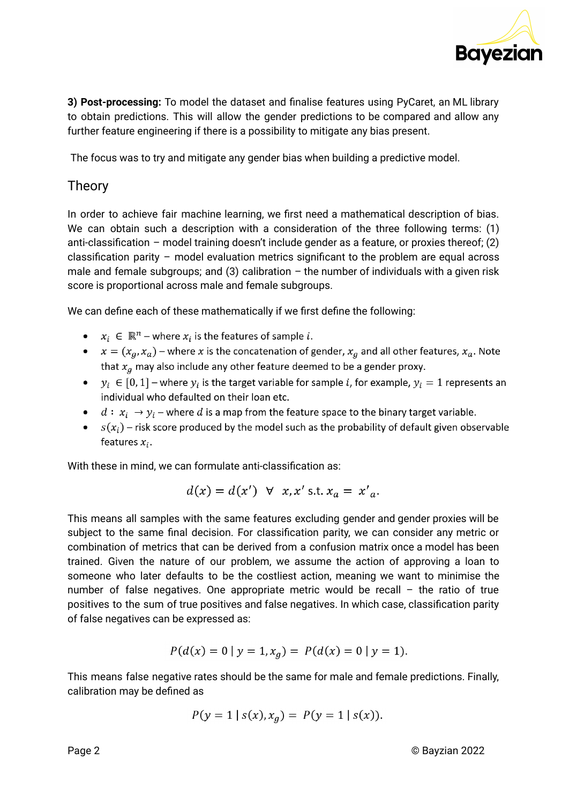

**3) Post-processing:** To model the dataset and finalise features using PyCaret, an ML library to obtain predictions. This will allow the gender predictions to be compared and allow any further feature engineering if there is a possibility to mitigate any bias present.

The focus was to try and mitigate any gender bias when building a predictive model.

#### Theory

In order to achieve fair machine learning, we first need a mathematical description of bias. We can obtain such a description with a consideration of the three following terms: (1) anti-classification – model training doesn't include gender as a feature, or proxies thereof; (2) classification parity – model evaluation metrics significant to the problem are equal across male and female subgroups; and (3) calibration  $-$  the number of individuals with a given risk score is proportional across male and female subgroups.

We can define each of these mathematically if we first define the following:

- $x_i \in \mathbb{R}^n$  where  $x_i$  is the features of sample i.
- $x = (x_a, x_a)$  where x is the concatenation of gender,  $x_a$  and all other features,  $x_a$ . Note that  $x_g$  may also include any other feature deemed to be a gender proxy.
- $y_i \in [0, 1]$  where  $y_i$  is the target variable for sample *i*, for example,  $y_i = 1$  represents an individual who defaulted on their loan etc.
- $d: x_i \rightarrow y_i$  where d is a map from the feature space to the binary target variable.
- $s(x_i)$  risk score produced by the model such as the probability of default given observable features  $x_i$ .

With these in mind, we can formulate anti-classification as:

$$
d(x) = d(x') \quad \forall \quad x, x' \text{ s.t. } x_a = x'_a.
$$

This means all samples with the same features excluding gender and gender proxies will be subject to the same final decision. For classification parity, we can consider any metric or combination of metrics that can be derived from a confusion matrix once a model has been trained. Given the nature of our problem, we assume the action of approving a loan to someone who later defaults to be the costliest action, meaning we want to minimise the number of false negatives. One appropriate metric would be recall – the ratio of true positives to the sum of true positives and false negatives. In which case, classification parity of false negatives can be expressed as:

$$
P(d(x) = 0 | y = 1, xa) = P(d(x) = 0 | y = 1).
$$

This means false negative rates should be the same for male and female predictions. Finally, calibration may be defined as

$$
P(y = 1 | s(x), x_g) = P(y = 1 | s(x)).
$$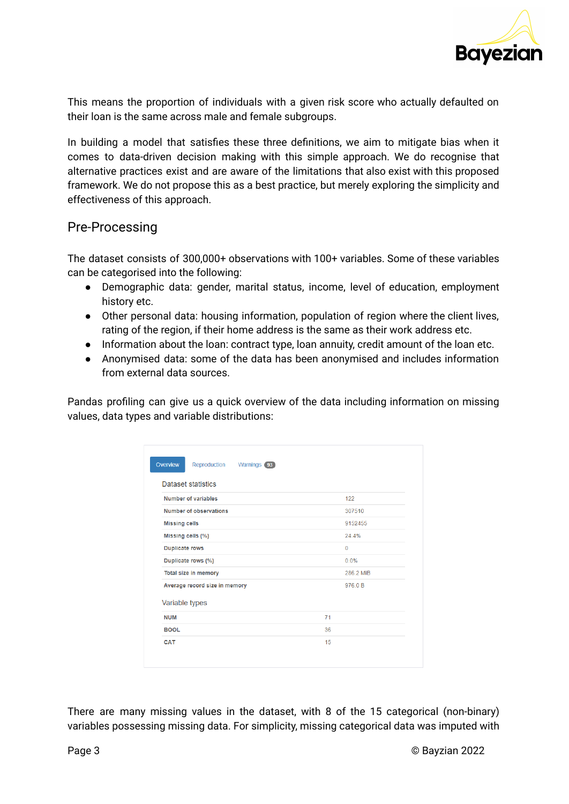

This means the proportion of individuals with a given risk score who actually defaulted on their loan is the same across male and female subgroups.

In building a model that satisfies these three definitions, we aim to mitigate bias when it comes to data-driven decision making with this simple approach. We do recognise that alternative practices exist and are aware of the limitations that also exist with this proposed framework. We do not propose this as a best practice, but merely exploring the simplicity and effectiveness of this approach.

### Pre-Processing

The dataset consists of 300,000+ observations with 100+ variables. Some of these variables can be categorised into the following:

- Demographic data: gender, marital status, income, level of education, employment history etc.
- Other personal data: housing information, population of region where the client lives, rating of the region, if their home address is the same as their work address etc.
- Information about the loan: contract type, loan annuity, credit amount of the loan etc.
- Anonymised data: some of the data has been anonymised and includes information from external data sources.

Pandas profiling can give us a quick overview of the data including information on missing values, data types and variable distributions:

| Overview<br>Reproduction<br>Warnings 93 |              |  |
|-----------------------------------------|--------------|--|
| <b>Dataset statistics</b>               |              |  |
| <b>Number of variables</b>              | 122          |  |
| Number of observations                  | 307510       |  |
| <b>Missing cells</b>                    | 9152455      |  |
| Missing cells (%)                       | 24.4%        |  |
| <b>Duplicate rows</b>                   | $\mathbf{0}$ |  |
| Duplicate rows (%)                      | 0.0%         |  |
| Total size in memory                    | 286.2 MiB    |  |
| Average record size in memory           | 976.0 B      |  |
| Variable types                          |              |  |
| <b>NUM</b>                              | 71           |  |
| <b>BOOL</b>                             | 36           |  |
| CAT                                     | 15           |  |
|                                         |              |  |

There are many missing values in the dataset, with 8 of the 15 categorical (non-binary) variables possessing missing data. For simplicity, missing categorical data was imputed with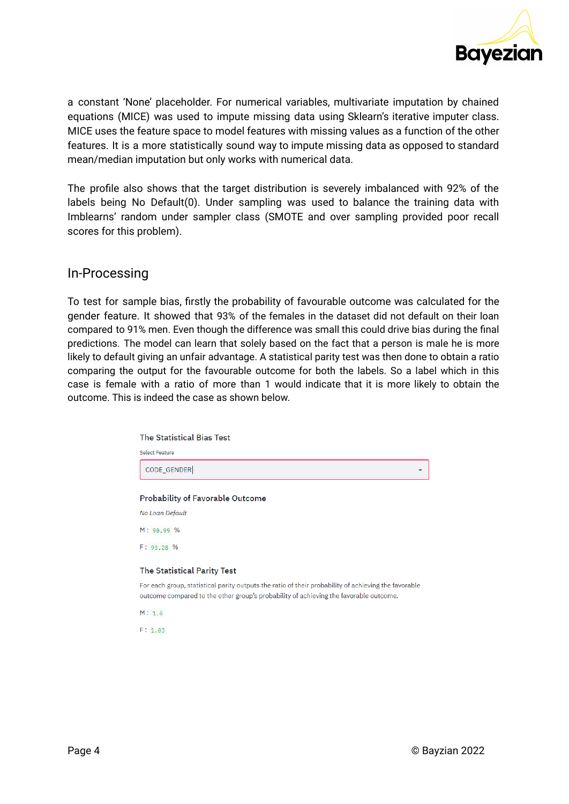

a constant 'None' placeholder. For numerical variables, multivariate imputation by chained equations (MICE) was used to impute missing data using Sklearn's iterative imputer class. MICE uses the feature space to model features with missing values as a function of the other features. It is a more statistically sound way to impute missing data as opposed to standard mean/median imputation but only works with numerical data.

The profile also shows that the target distribution is severely imbalanced with 92% of the labels being No Default(0). Under sampling was used to balance the training data with Imblearns' random under sampler class (SMOTE and over sampling provided poor recall scores for this problem).

#### In-Processing

To test for sample bias, firstly the probability of favourable outcome was calculated for the gender feature. It showed that 93% of the females in the dataset did not default on their loan compared to 91% men. Even though the difference was small this could drive bias during the final predictions. The model can learn that solely based on the fact that a person is male he is more likely to default giving an unfair advantage. A statistical parity test was then done to obtain a ratio comparing the output for the favourable outcome for both the labels. So a label which in this case is female with a ratio of more than 1 would indicate that it is more likely to obtain the outcome. This is indeed the case as shown below.

| <b>The Statistical Bias Test</b>                                                                                                                                                              |
|-----------------------------------------------------------------------------------------------------------------------------------------------------------------------------------------------|
| <b>Select Feature</b>                                                                                                                                                                         |
| CODE_GENDER                                                                                                                                                                                   |
|                                                                                                                                                                                               |
| <b>Probability of Favorable Outcome</b>                                                                                                                                                       |
| No Loan Default                                                                                                                                                                               |
| M: 90.99 %                                                                                                                                                                                    |
| F: 93.28 %                                                                                                                                                                                    |
| The Statistical Parity Test                                                                                                                                                                   |
| For each group, statistical parity outputs the ratio of their probability of achieving the favorable<br>outcome compared to the other group's probability of achieving the favorable outcome. |
| M: 1.0                                                                                                                                                                                        |
| F: 1.03                                                                                                                                                                                       |
|                                                                                                                                                                                               |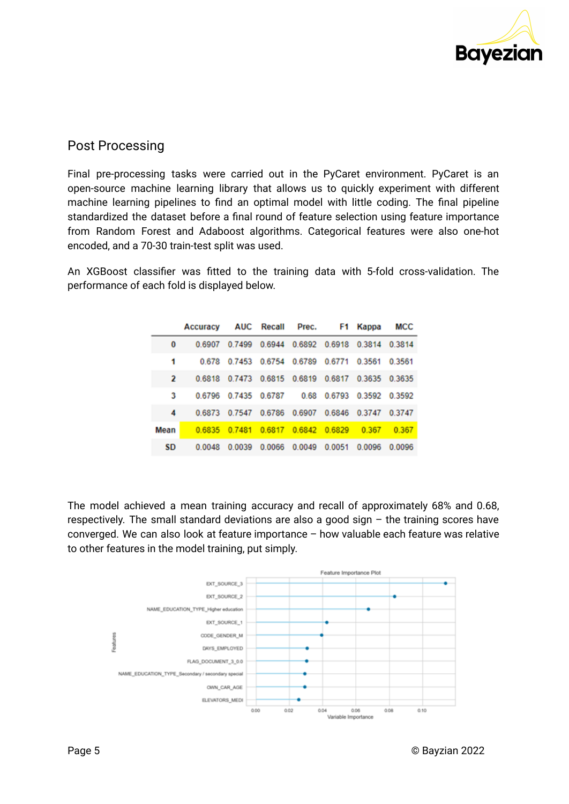

## Post Processing

Final pre-processing tasks were carried out in the PyCaret environment. PyCaret is an open-source machine learning library that allows us to quickly experiment with different machine learning pipelines to find an optimal model with little coding. The final pipeline standardized the dataset before a final round of feature selection using feature importance from Random Forest and Adaboost algorithms. Categorical features were also one-hot encoded, and a 70-30 train-test split was used.

An XGBoost classifier was fitted to the training data with 5-fold cross-validation. The performance of each fold is displayed below.

|           | Accuracy |        | AUC Recall | Prec.                                     | F1.    | Kappa  | <b>MCC</b>    |
|-----------|----------|--------|------------|-------------------------------------------|--------|--------|---------------|
| $\bf{0}$  | 0.6907   |        |            | 0.7499 0.6944 0.6892 0.6918 0.3814 0.3814 |        |        |               |
| 1         | 0.678    |        |            | 0.7453 0.6754 0.6789 0.6771 0.3561 0.3561 |        |        |               |
| 2         | 0.6818   |        |            | 0.7473 0.6815 0.6819 0.6817 0.3635 0.3635 |        |        |               |
| 3         | 0.6796   | 0.7435 | 0.6787     | 0.68                                      | 0.6793 |        | 0.3592 0.3592 |
| 4         | 0.6873   | 0.7547 | 0.6786     | 0.6907                                    | 0.6846 | 0.3747 | 0.3747        |
| Mean      | 0.6835   | 0.7481 | 0.6817     | 0.6842                                    | 0.6829 | 0.367  | 0.367         |
| <b>SD</b> | 0.0048   | 0.0039 |            | 0.0066 0.0049                             | 0.0051 | 0.0096 | 0.0096        |

The model achieved a mean training accuracy and recall of approximately 68% and 0.68, respectively. The small standard deviations are also a good sign – the training scores have converged. We can also look at feature importance – how valuable each feature was relative to other features in the model training, put simply.

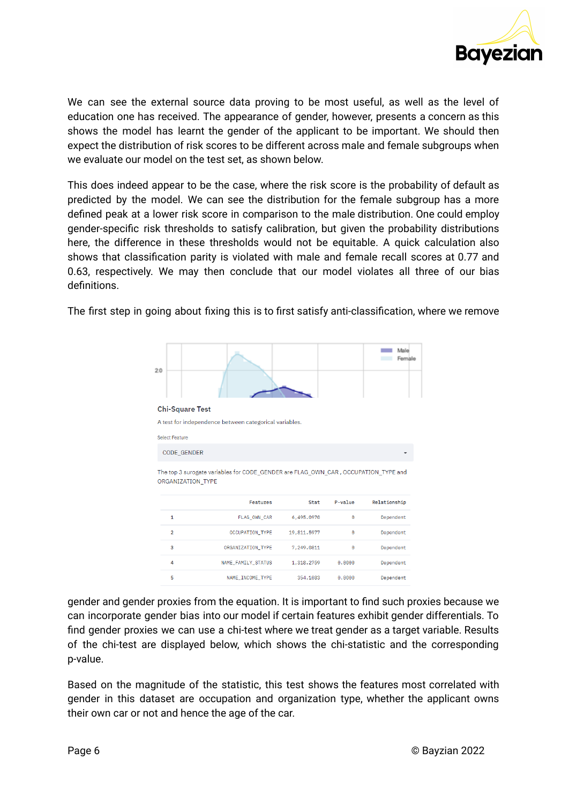

We can see the external source data proving to be most useful, as well as the level of education one has received. The appearance of gender, however, presents a concern as this shows the model has learnt the gender of the applicant to be important. We should then expect the distribution of risk scores to be different across male and female subgroups when we evaluate our model on the test set, as shown below.

This does indeed appear to be the case, where the risk score is the probability of default as predicted by the model. We can see the distribution for the female subgroup has a more defined peak at a lower risk score in comparison to the male distribution. One could employ gender-specific risk thresholds to satisfy calibration, but given the probability distributions here, the difference in these thresholds would not be equitable. A quick calculation also shows that classification parity is violated with male and female recall scores at 0.77 and 0.63, respectively. We may then conclude that our model violates all three of our bias definitions.

| 20                     |                                                                                    |             |         | Male<br>Female |
|------------------------|------------------------------------------------------------------------------------|-------------|---------|----------------|
| <b>Chi-Square Test</b> |                                                                                    |             |         |                |
|                        | A test for independence between categorical variables.                             |             |         |                |
| <b>Select Feature</b>  |                                                                                    |             |         |                |
|                        |                                                                                    |             |         |                |
| <b>CODE GENDER</b>     |                                                                                    |             |         |                |
| ORGANIZATION TYPE      | The top 3 surogate variables for CODE_GENDER are FLAG_OWN_CAR, OCCUPATION_TYPE and |             |         |                |
|                        | <b>Features</b>                                                                    | Stat        | P-value | Relationship   |
| $\mathbf{1}$           | FLAG OWN CAR                                                                       | 6,495.0970  | $\odot$ | Dependent      |
| $\overline{2}$         | OCCUPATION TYPE                                                                    | 19,811.5977 | 0       | Dependent      |
| 3                      | ORGANIZATION TYPE                                                                  | 7,249.0811  | $\odot$ | Dependent      |
| 4                      | NAME FAMILY STATUS                                                                 | 1,318.2759  | 0.0000  | Dependent      |

The first step in going about fixing this is to first satisfy anti-classification, where we remove

gender and gender proxies from the equation. It is important to find such proxies because we can incorporate gender bias into our model if certain features exhibit gender differentials. To find gender proxies we can use a chi-test where we treat gender as a target variable. Results of the chi-test are displayed below, which shows the chi-statistic and the corresponding p-value.

Based on the magnitude of the statistic, this test shows the features most correlated with gender in this dataset are occupation and organization type, whether the applicant owns their own car or not and hence the age of the car.